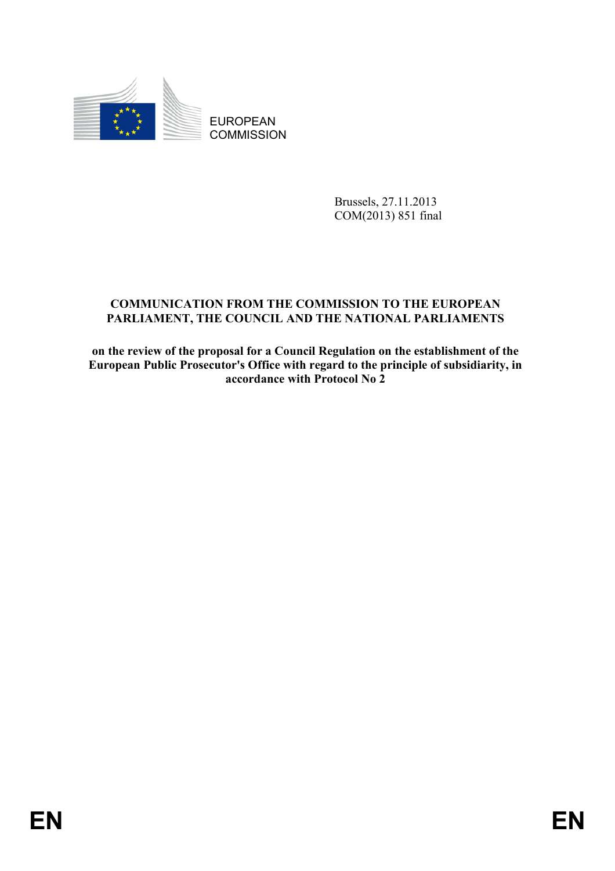

EUROPEAN **COMMISSION** 

> Brussels, 27.11.2013 COM(2013) 851 final

# **COMMUNICATION FROM THE COMMISSION TO THE EUROPEAN PARLIAMENT, THE COUNCIL AND THE NATIONAL PARLIAMENTS**

**on the review of the proposal for a Council Regulation on the establishment of the European Public Prosecutor's Office with regard to the principle of subsidiarity, in accordance with Protocol No 2**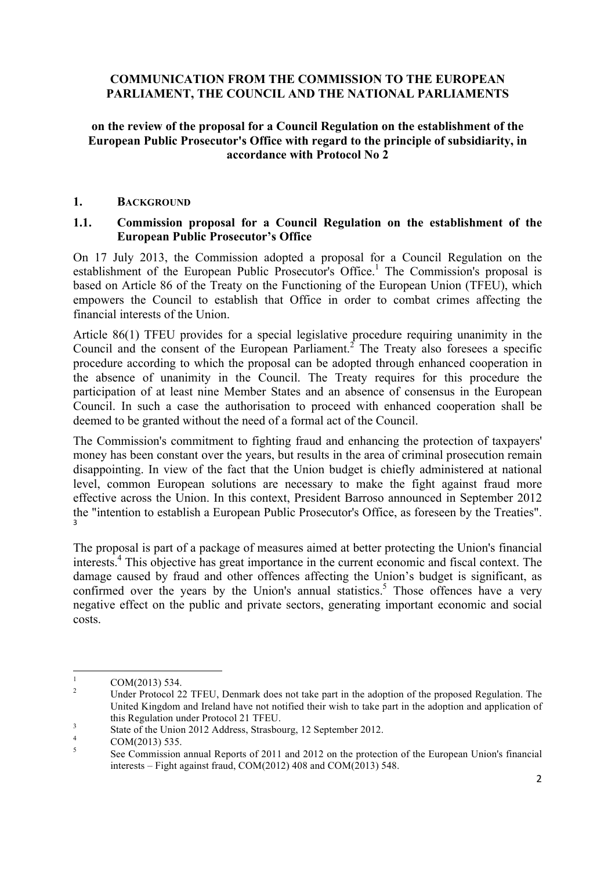## **COMMUNICATION FROM THE COMMISSION TO THE EUROPEAN PARLIAMENT, THE COUNCIL AND THE NATIONAL PARLIAMENTS**

### **on the review of the proposal for a Council Regulation on the establishment of the European Public Prosecutor's Office with regard to the principle of subsidiarity, in accordance with Protocol No 2**

#### **1. BACKGROUND**

#### **1.1. Commission proposal for a Council Regulation on the establishment of the European Public Prosecutor's Office**

On 17 July 2013, the Commission adopted a proposal for a Council Regulation on the establishment of the European Public Prosecutor's Office.<sup>1</sup> The Commission's proposal is based on Article 86 of the Treaty on the Functioning of the European Union (TFEU), which empowers the Council to establish that Office in order to combat crimes affecting the financial interests of the Union.

Article 86(1) TFEU provides for a special legislative procedure requiring unanimity in the Council and the consent of the European Parliament.<sup>2</sup> The Treaty also foresees a specific procedure according to which the proposal can be adopted through enhanced cooperation in the absence of unanimity in the Council. The Treaty requires for this procedure the participation of at least nine Member States and an absence of consensus in the European Council. In such a case the authorisation to proceed with enhanced cooperation shall be deemed to be granted without the need of a formal act of the Council.

The Commission's commitment to fighting fraud and enhancing the protection of taxpayers' money has been constant over the years, but results in the area of criminal prosecution remain disappointing. In view of the fact that the Union budget is chiefly administered at national level, common European solutions are necessary to make the fight against fraud more effective across the Union. In this context, President Barroso announced in September 2012 the "intention to establish a European Public Prosecutor's Office, as foreseen by the Treaties". 3

The proposal is part of a package of measures aimed at better protecting the Union's financial interests.4 This objective has great importance in the current economic and fiscal context. The damage caused by fraud and other offences affecting the Union's budget is significant, as confirmed over the years by the Union's annual statistics.<sup>5</sup> Those offences have a very negative effect on the public and private sectors, generating important economic and social costs.

<u> 1989 - Johann Stein, fransk politik (d. 1989)</u>

 $\frac{1}{2}$  COM(2013) 534.<br><sup>2</sup> Under Protocol 22 TFEU, Denmark does not take part in the adoption of the proposed Regulation. The United Kingdom and Ireland have not notified their wish to take part in the adoption and application of this Regulation under Protocol 21 TFEU.<br>
3 State of the Union 2012 Address, Strasbourg, 12 September 2012.<br>
4 COM(2013) 535.<br>
See Commission annual Reports of 2011 and 2012 on the protection of the European Union's financi

interests – Fight against fraud, COM(2012) 408 and COM(2013) 548.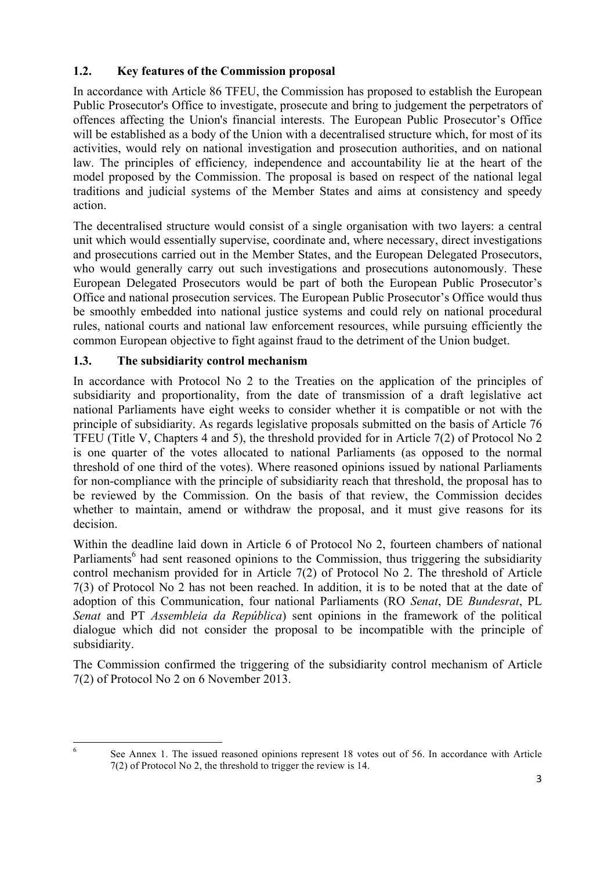## **1.2. Key features of the Commission proposal**

In accordance with Article 86 TFEU, the Commission has proposed to establish the European Public Prosecutor's Office to investigate, prosecute and bring to judgement the perpetrators of offences affecting the Union's financial interests. The European Public Prosecutor's Office will be established as a body of the Union with a decentralised structure which, for most of its activities, would rely on national investigation and prosecution authorities, and on national law. The principles of efficiency*,* independence and accountability lie at the heart of the model proposed by the Commission. The proposal is based on respect of the national legal traditions and judicial systems of the Member States and aims at consistency and speedy action.

The decentralised structure would consist of a single organisation with two layers: a central unit which would essentially supervise, coordinate and, where necessary, direct investigations and prosecutions carried out in the Member States, and the European Delegated Prosecutors, who would generally carry out such investigations and prosecutions autonomously. These European Delegated Prosecutors would be part of both the European Public Prosecutor's Office and national prosecution services. The European Public Prosecutor's Office would thus be smoothly embedded into national justice systems and could rely on national procedural rules, national courts and national law enforcement resources, while pursuing efficiently the common European objective to fight against fraud to the detriment of the Union budget.

## **1.3. The subsidiarity control mechanism**

In accordance with Protocol No 2 to the Treaties on the application of the principles of subsidiarity and proportionality, from the date of transmission of a draft legislative act national Parliaments have eight weeks to consider whether it is compatible or not with the principle of subsidiarity. As regards legislative proposals submitted on the basis of Article 76 TFEU (Title V, Chapters 4 and 5), the threshold provided for in Article 7(2) of Protocol No 2 is one quarter of the votes allocated to national Parliaments (as opposed to the normal threshold of one third of the votes). Where reasoned opinions issued by national Parliaments for non-compliance with the principle of subsidiarity reach that threshold, the proposal has to be reviewed by the Commission. On the basis of that review, the Commission decides whether to maintain, amend or withdraw the proposal, and it must give reasons for its decision.

Within the deadline laid down in Article 6 of Protocol No 2, fourteen chambers of national Parliaments<sup>6</sup> had sent reasoned opinions to the Commission, thus triggering the subsidiarity control mechanism provided for in Article 7(2) of Protocol No 2. The threshold of Article 7(3) of Protocol No 2 has not been reached. In addition, it is to be noted that at the date of adoption of this Communication, four national Parliaments (RO *Senat*, DE *Bundesrat*, PL *Senat* and PT *Assembleia da República*) sent opinions in the framework of the political dialogue which did not consider the proposal to be incompatible with the principle of subsidiarity.

The Commission confirmed the triggering of the subsidiarity control mechanism of Article 7(2) of Protocol No 2 on 6 November 2013.

<sup>&</sup>lt;u> 1989 - Johann Stein, fransk politik (d. 1989)</u> <sup>6</sup> See Annex 1. The issued reasoned opinions represent 18 votes out of 56. In accordance with Article 7(2) of Protocol No 2, the threshold to trigger the review is 14.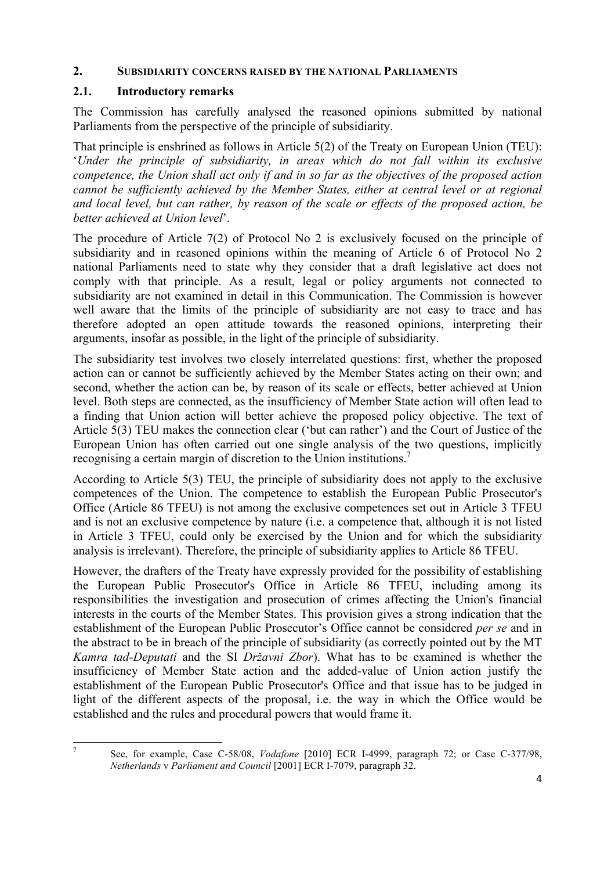#### **2. SUBSIDIARITY CONCERNS RAISED BY THE NATIONAL PARLIAMENTS**

## **2.1. Introductory remarks**

The Commission has carefully analysed the reasoned opinions submitted by national Parliaments from the perspective of the principle of subsidiarity.

That principle is enshrined as follows in Article 5(2) of the Treaty on European Union (TEU): '*Under the principle of subsidiarity, in areas which do not fall within its exclusive competence, the Union shall act only if and in so far as the objectives of the proposed action cannot be sufficiently achieved by the Member States, either at central level or at regional and local level, but can rather, by reason of the scale or effects of the proposed action, be better achieved at Union level*'.

The procedure of Article 7(2) of Protocol No 2 is exclusively focused on the principle of subsidiarity and in reasoned opinions within the meaning of Article 6 of Protocol No 2 national Parliaments need to state why they consider that a draft legislative act does not comply with that principle. As a result, legal or policy arguments not connected to subsidiarity are not examined in detail in this Communication. The Commission is however well aware that the limits of the principle of subsidiarity are not easy to trace and has therefore adopted an open attitude towards the reasoned opinions, interpreting their arguments, insofar as possible, in the light of the principle of subsidiarity.

The subsidiarity test involves two closely interrelated questions: first, whether the proposed action can or cannot be sufficiently achieved by the Member States acting on their own; and second, whether the action can be, by reason of its scale or effects, better achieved at Union level. Both steps are connected, as the insufficiency of Member State action will often lead to a finding that Union action will better achieve the proposed policy objective. The text of Article 5(3) TEU makes the connection clear ('but can rather') and the Court of Justice of the European Union has often carried out one single analysis of the two questions, implicitly recognising a certain margin of discretion to the Union institutions.7

According to Article 5(3) TEU, the principle of subsidiarity does not apply to the exclusive competences of the Union. The competence to establish the European Public Prosecutor's Office (Article 86 TFEU) is not among the exclusive competences set out in Article 3 TFEU and is not an exclusive competence by nature (i.e. a competence that, although it is not listed in Article 3 TFEU, could only be exercised by the Union and for which the subsidiarity analysis is irrelevant). Therefore, the principle of subsidiarity applies to Article 86 TFEU.

However, the drafters of the Treaty have expressly provided for the possibility of establishing the European Public Prosecutor's Office in Article 86 TFEU, including among its responsibilities the investigation and prosecution of crimes affecting the Union's financial interests in the courts of the Member States. This provision gives a strong indication that the establishment of the European Public Prosecutor's Office cannot be considered *per se* and in the abstract to be in breach of the principle of subsidiarity (as correctly pointed out by the MT *Kamra tad-Deputati* and the SI *Državni Zbor*). What has to be examined is whether the insufficiency of Member State action and the added-value of Union action justify the establishment of the European Public Prosecutor's Office and that issue has to be judged in light of the different aspects of the proposal, i.e. the way in which the Office would be established and the rules and procedural powers that would frame it.

<sup>&</sup>lt;u> 1989 - Johann Stein, fransk politik (d. 1989)</u> <sup>7</sup> See, for example, Case C-58/08, *Vodafone* [2010] ECR I-4999, paragraph 72; or Case C-377/98, *Netherlands* v *Parliament and Council* [2001] ECR I-7079, paragraph 32.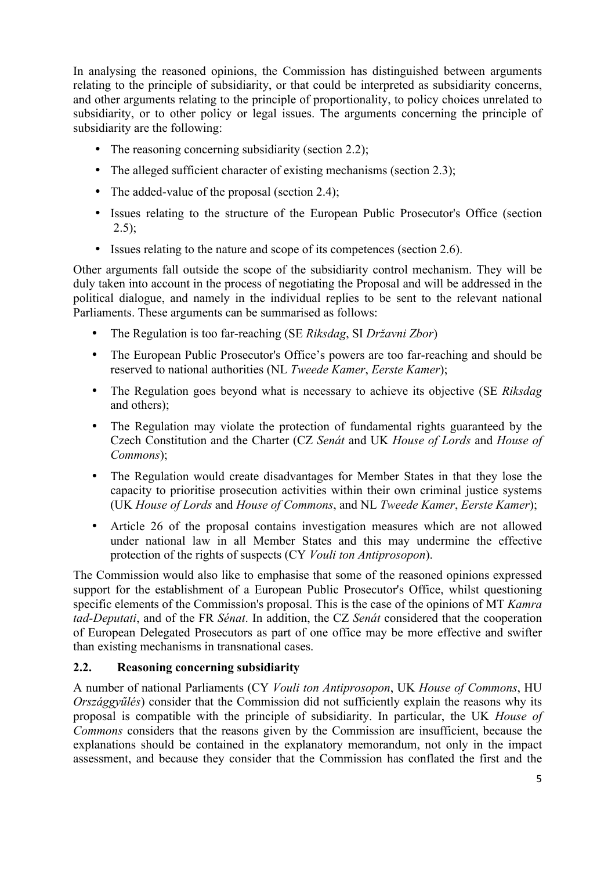In analysing the reasoned opinions, the Commission has distinguished between arguments relating to the principle of subsidiarity, or that could be interpreted as subsidiarity concerns, and other arguments relating to the principle of proportionality, to policy choices unrelated to subsidiarity, or to other policy or legal issues. The arguments concerning the principle of subsidiarity are the following:

- The reasoning concerning subsidiarity (section 2.2);
- The alleged sufficient character of existing mechanisms (section 2.3):
- The added-value of the proposal (section 2.4);
- Issues relating to the structure of the European Public Prosecutor's Office (section  $2.5$ );
- Issues relating to the nature and scope of its competences (section 2.6).

Other arguments fall outside the scope of the subsidiarity control mechanism. They will be duly taken into account in the process of negotiating the Proposal and will be addressed in the political dialogue, and namely in the individual replies to be sent to the relevant national Parliaments. These arguments can be summarised as follows:

- The Regulation is too far-reaching (SE *Riksdag*, SI *Državni Zbor*)
- The European Public Prosecutor's Office's powers are too far-reaching and should be reserved to national authorities (NL *Tweede Kamer*, *Eerste Kamer*);
- The Regulation goes beyond what is necessary to achieve its objective (SE *Riksdag* and others);
- The Regulation may violate the protection of fundamental rights guaranteed by the Czech Constitution and the Charter (CZ *Senát* and UK *House of Lords* and *House of Commons*);
- The Regulation would create disadvantages for Member States in that they lose the capacity to prioritise prosecution activities within their own criminal justice systems (UK *House of Lords* and *House of Commons*, and NL *Tweede Kamer*, *Eerste Kamer*);
- Article 26 of the proposal contains investigation measures which are not allowed under national law in all Member States and this may undermine the effective protection of the rights of suspects (CY *Vouli ton Antiprosopon*).

The Commission would also like to emphasise that some of the reasoned opinions expressed support for the establishment of a European Public Prosecutor's Office, whilst questioning specific elements of the Commission's proposal. This is the case of the opinions of MT *Kamra tad-Deputati*, and of the FR *Sénat*. In addition, the CZ *Senát* considered that the cooperation of European Delegated Prosecutors as part of one office may be more effective and swifter than existing mechanisms in transnational cases.

## **2.2. Reasoning concerning subsidiarity**

A number of national Parliaments (CY *Vouli ton Antiprosopon*, UK *House of Commons*, HU *Országgyűlés*) consider that the Commission did not sufficiently explain the reasons why its proposal is compatible with the principle of subsidiarity. In particular, the UK *House of Commons* considers that the reasons given by the Commission are insufficient, because the explanations should be contained in the explanatory memorandum, not only in the impact assessment, and because they consider that the Commission has conflated the first and the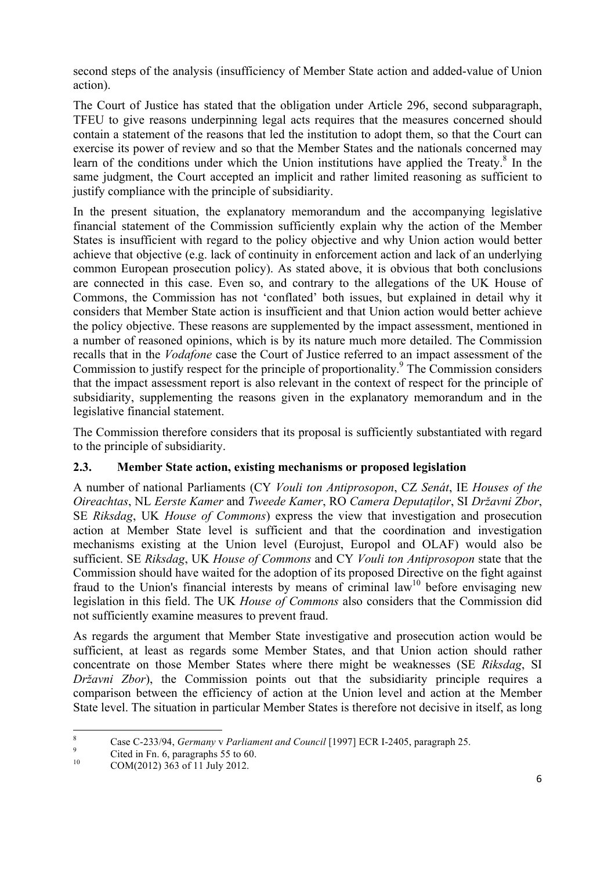second steps of the analysis (insufficiency of Member State action and added-value of Union action).

The Court of Justice has stated that the obligation under Article 296, second subparagraph, TFEU to give reasons underpinning legal acts requires that the measures concerned should contain a statement of the reasons that led the institution to adopt them, so that the Court can exercise its power of review and so that the Member States and the nationals concerned may learn of the conditions under which the Union institutions have applied the Treaty. $8$  In the same judgment, the Court accepted an implicit and rather limited reasoning as sufficient to justify compliance with the principle of subsidiarity.

In the present situation, the explanatory memorandum and the accompanying legislative financial statement of the Commission sufficiently explain why the action of the Member States is insufficient with regard to the policy objective and why Union action would better achieve that objective (e.g. lack of continuity in enforcement action and lack of an underlying common European prosecution policy). As stated above, it is obvious that both conclusions are connected in this case. Even so, and contrary to the allegations of the UK House of Commons, the Commission has not 'conflated' both issues, but explained in detail why it considers that Member State action is insufficient and that Union action would better achieve the policy objective. These reasons are supplemented by the impact assessment, mentioned in a number of reasoned opinions, which is by its nature much more detailed. The Commission recalls that in the *Vodafone* case the Court of Justice referred to an impact assessment of the Commission to justify respect for the principle of proportionality.<sup>9</sup> The Commission considers that the impact assessment report is also relevant in the context of respect for the principle of subsidiarity, supplementing the reasons given in the explanatory memorandum and in the legislative financial statement.

The Commission therefore considers that its proposal is sufficiently substantiated with regard to the principle of subsidiarity.

## **2.3. Member State action, existing mechanisms or proposed legislation**

A number of national Parliaments (CY *Vouli ton Antiprosopon*, CZ *Senát*, IE *Houses of the Oireachtas*, NL *Eerste Kamer* and *Tweede Kamer*, RO *Camera Deputaților*, SI *Državni Zbor*, SE *Riksdag*, UK *House of Commons*) express the view that investigation and prosecution action at Member State level is sufficient and that the coordination and investigation mechanisms existing at the Union level (Eurojust, Europol and OLAF) would also be sufficient. SE *Riksdag*, UK *House of Commons* and CY *Vouli ton Antiprosopon* state that the Commission should have waited for the adoption of its proposed Directive on the fight against fraud to the Union's financial interests by means of criminal  $law<sup>10</sup>$  before envisaging new legislation in this field. The UK *House of Commons* also considers that the Commission did not sufficiently examine measures to prevent fraud.

As regards the argument that Member State investigative and prosecution action would be sufficient, at least as regards some Member States, and that Union action should rather concentrate on those Member States where there might be weaknesses (SE *Riksdag*, SI *Državni Zbor*), the Commission points out that the subsidiarity principle requires a comparison between the efficiency of action at the Union level and action at the Member State level. The situation in particular Member States is therefore not decisive in itself, as long

<u> 1989 - Johann Stein, fransk politik (d. 1989)</u>

<sup>&</sup>lt;sup>8</sup> Case C-233/94, *Germany* v *Parliament and Council* [1997] ECR I-2405, paragraph 25.<br>
<sup>9</sup> Cited in Fn. 6, paragraphs 55 to 60.<br>
COM(2012) 363 of 11 July 2012.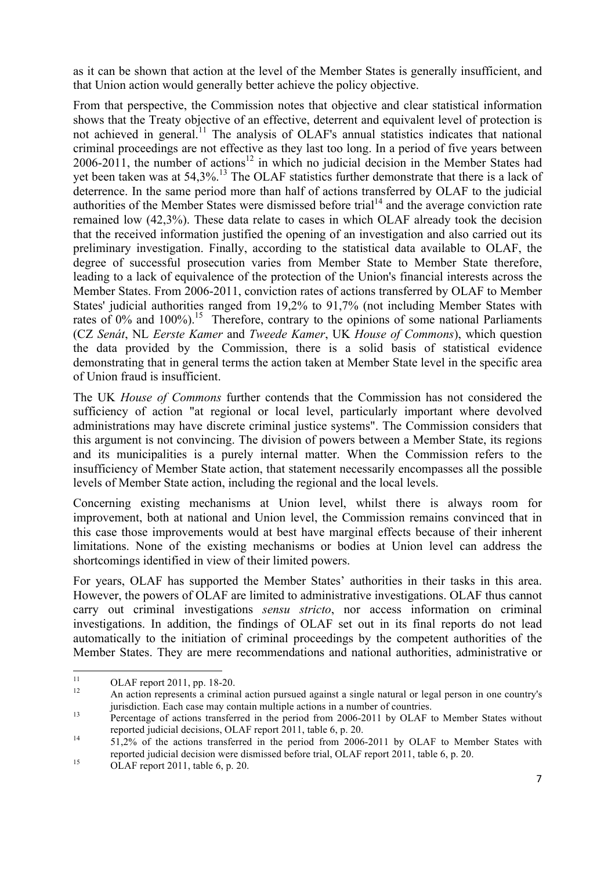as it can be shown that action at the level of the Member States is generally insufficient, and that Union action would generally better achieve the policy objective.

From that perspective, the Commission notes that objective and clear statistical information shows that the Treaty objective of an effective, deterrent and equivalent level of protection is not achieved in general.<sup>11</sup> The analysis of OLAF's annual statistics indicates that national criminal proceedings are not effective as they last too long. In a period of five years between  $2006-2011$ , the number of actions<sup>12</sup> in which no judicial decision in the Member States had yet been taken was at 54.3%.<sup>13</sup> The OLAF statistics further demonstrate that there is a lack of deterrence. In the same period more than half of actions transferred by OLAF to the judicial authorities of the Member States were dismissed before trial<sup>14</sup> and the average conviction rate remained low (42,3%). These data relate to cases in which OLAF already took the decision that the received information justified the opening of an investigation and also carried out its preliminary investigation. Finally, according to the statistical data available to OLAF, the degree of successful prosecution varies from Member State to Member State therefore, leading to a lack of equivalence of the protection of the Union's financial interests across the Member States. From 2006-2011, conviction rates of actions transferred by OLAF to Member States' judicial authorities ranged from 19,2% to 91,7% (not including Member States with rates of  $0\%$  and  $100\%$ ).<sup>15</sup> Therefore, contrary to the opinions of some national Parliaments (CZ *Senát*, NL *Eerste Kamer* and *Tweede Kamer*, UK *House of Commons*), which question the data provided by the Commission, there is a solid basis of statistical evidence demonstrating that in general terms the action taken at Member State level in the specific area of Union fraud is insufficient.

The UK *House of Commons* further contends that the Commission has not considered the sufficiency of action "at regional or local level, particularly important where devolved administrations may have discrete criminal justice systems". The Commission considers that this argument is not convincing. The division of powers between a Member State, its regions and its municipalities is a purely internal matter. When the Commission refers to the insufficiency of Member State action, that statement necessarily encompasses all the possible levels of Member State action, including the regional and the local levels.

Concerning existing mechanisms at Union level, whilst there is always room for improvement, both at national and Union level, the Commission remains convinced that in this case those improvements would at best have marginal effects because of their inherent limitations. None of the existing mechanisms or bodies at Union level can address the shortcomings identified in view of their limited powers.

For years, OLAF has supported the Member States' authorities in their tasks in this area. However, the powers of OLAF are limited to administrative investigations. OLAF thus cannot carry out criminal investigations *sensu stricto*, nor access information on criminal investigations. In addition, the findings of OLAF set out in its final reports do not lead automatically to the initiation of criminal proceedings by the competent authorities of the Member States. They are mere recommendations and national authorities, administrative or

<sup>&</sup>lt;u> 1989 - Johann Stein, fransk politik (d. 1989)</u>

<sup>&</sup>lt;sup>11</sup> OLAF report 2011, pp. 18-20.<br><sup>12</sup> An action represents a criminal action pursued against a single natural or legal person in one country's

jurisdiction. Each case may contain multiple actions in a number of countries.<br>Percentage of actions transferred in the period from 2006-2011 by OLAF to Member States without reported judicial decisions, OLAF report 2011,

 $14$  51,2% of the actions transferred in the period from 2006-2011 by OLAF to Member States with reported judicial decision were dismissed before trial, OLAF report 2011, table 6, p. 20. 15 OLAF report 2011, table 6, p. 20.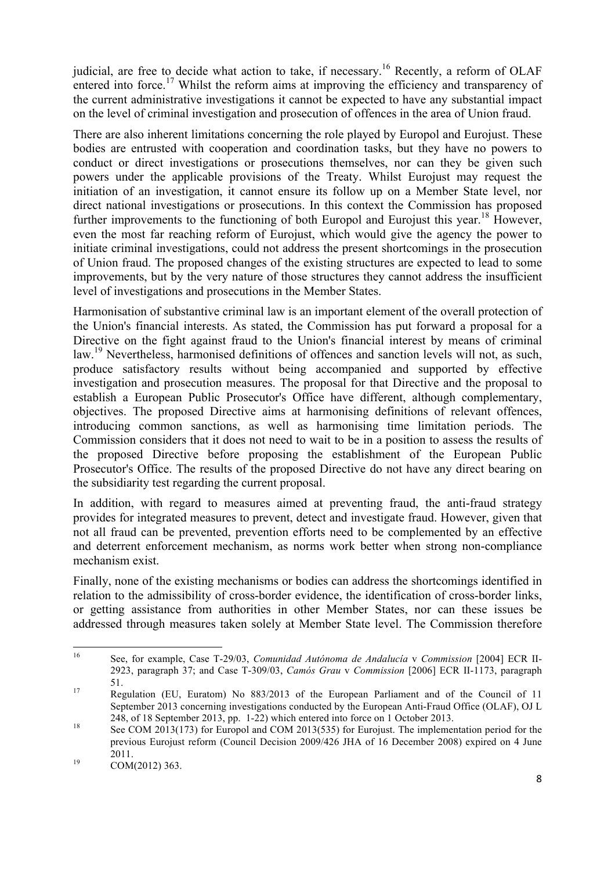judicial, are free to decide what action to take, if necessary.<sup>16</sup> Recently, a reform of OLAF entered into force.<sup>17</sup> Whilst the reform aims at improving the efficiency and transparency of the current administrative investigations it cannot be expected to have any substantial impact on the level of criminal investigation and prosecution of offences in the area of Union fraud.

There are also inherent limitations concerning the role played by Europol and Eurojust. These bodies are entrusted with cooperation and coordination tasks, but they have no powers to conduct or direct investigations or prosecutions themselves, nor can they be given such powers under the applicable provisions of the Treaty. Whilst Eurojust may request the initiation of an investigation, it cannot ensure its follow up on a Member State level, nor direct national investigations or prosecutions. In this context the Commission has proposed further improvements to the functioning of both Europol and Eurojust this year.<sup>18</sup> However, even the most far reaching reform of Eurojust, which would give the agency the power to initiate criminal investigations, could not address the present shortcomings in the prosecution of Union fraud. The proposed changes of the existing structures are expected to lead to some improvements, but by the very nature of those structures they cannot address the insufficient level of investigations and prosecutions in the Member States.

Harmonisation of substantive criminal law is an important element of the overall protection of the Union's financial interests. As stated, the Commission has put forward a proposal for a Directive on the fight against fraud to the Union's financial interest by means of criminal law.<sup>19</sup> Nevertheless, harmonised definitions of offences and sanction levels will not, as such, produce satisfactory results without being accompanied and supported by effective investigation and prosecution measures. The proposal for that Directive and the proposal to establish a European Public Prosecutor's Office have different, although complementary, objectives. The proposed Directive aims at harmonising definitions of relevant offences, introducing common sanctions, as well as harmonising time limitation periods. The Commission considers that it does not need to wait to be in a position to assess the results of the proposed Directive before proposing the establishment of the European Public Prosecutor's Office. The results of the proposed Directive do not have any direct bearing on the subsidiarity test regarding the current proposal.

In addition, with regard to measures aimed at preventing fraud, the anti-fraud strategy provides for integrated measures to prevent, detect and investigate fraud. However, given that not all fraud can be prevented, prevention efforts need to be complemented by an effective and deterrent enforcement mechanism, as norms work better when strong non-compliance mechanism exist.

Finally, none of the existing mechanisms or bodies can address the shortcomings identified in relation to the admissibility of cross-border evidence, the identification of cross-border links, or getting assistance from authorities in other Member States, nor can these issues be addressed through measures taken solely at Member State level. The Commission therefore

<u> 1989 - Johann Stein, fransk politik (d. 1989)</u>

<sup>16</sup> See, for example, Case T-29/03, *Comunidad Autónoma de Andalucía* v *Commission* [2004] ECR II-2923, paragraph 37; and Case T-309/03, *Camós Grau* v *Commission* [2006] ECR II-1173, paragraph 51. <sup>17</sup> Regulation (EU, Euratom) No 883/2013 of the European Parliament and of the Council of 11

September 2013 concerning investigations conducted by the European Anti-Fraud Office (OLAF), OJ L <sup>18</sup> 248, of 18 September 2013, pp. 1-22) which entered into force on 1 October 2013.<br><sup>18</sup> See COM 2013(173) for Europol and COM 2013(535) for Eurojust. The implementation period for the

previous Eurojust reform (Council Decision 2009/426 JHA of 16 December 2008) expired on 4 June  $^{19}$  2011.<br>COM(2012) 363.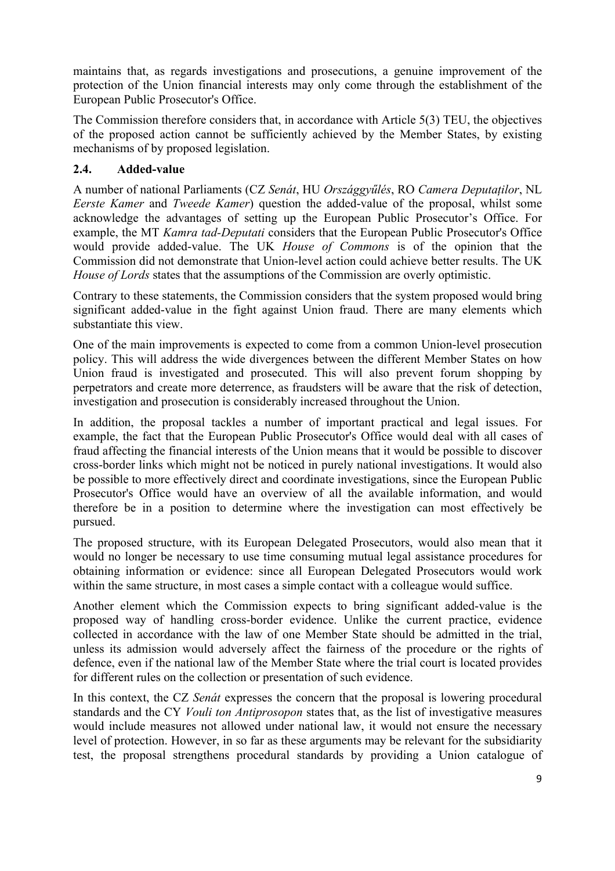maintains that, as regards investigations and prosecutions, a genuine improvement of the protection of the Union financial interests may only come through the establishment of the European Public Prosecutor's Office.

The Commission therefore considers that, in accordance with Article 5(3) TEU, the objectives of the proposed action cannot be sufficiently achieved by the Member States, by existing mechanisms of by proposed legislation.

## **2.4. Added-value**

A number of national Parliaments (CZ *Senát*, HU *Országgyűlés*, RO *Camera Deputaților*, NL *Eerste Kamer* and *Tweede Kamer*) question the added-value of the proposal, whilst some acknowledge the advantages of setting up the European Public Prosecutor's Office. For example, the MT *Kamra tad-Deputati* considers that the European Public Prosecutor's Office would provide added-value. The UK *House of Commons* is of the opinion that the Commission did not demonstrate that Union-level action could achieve better results. The UK *House of Lords* states that the assumptions of the Commission are overly optimistic.

Contrary to these statements, the Commission considers that the system proposed would bring significant added-value in the fight against Union fraud. There are many elements which substantiate this view.

One of the main improvements is expected to come from a common Union-level prosecution policy. This will address the wide divergences between the different Member States on how Union fraud is investigated and prosecuted. This will also prevent forum shopping by perpetrators and create more deterrence, as fraudsters will be aware that the risk of detection, investigation and prosecution is considerably increased throughout the Union.

In addition, the proposal tackles a number of important practical and legal issues. For example, the fact that the European Public Prosecutor's Office would deal with all cases of fraud affecting the financial interests of the Union means that it would be possible to discover cross-border links which might not be noticed in purely national investigations. It would also be possible to more effectively direct and coordinate investigations, since the European Public Prosecutor's Office would have an overview of all the available information, and would therefore be in a position to determine where the investigation can most effectively be pursued.

The proposed structure, with its European Delegated Prosecutors, would also mean that it would no longer be necessary to use time consuming mutual legal assistance procedures for obtaining information or evidence: since all European Delegated Prosecutors would work within the same structure, in most cases a simple contact with a colleague would suffice.

Another element which the Commission expects to bring significant added-value is the proposed way of handling cross-border evidence. Unlike the current practice, evidence collected in accordance with the law of one Member State should be admitted in the trial, unless its admission would adversely affect the fairness of the procedure or the rights of defence, even if the national law of the Member State where the trial court is located provides for different rules on the collection or presentation of such evidence.

In this context, the CZ *Senát* expresses the concern that the proposal is lowering procedural standards and the CY *Vouli ton Antiprosopon* states that, as the list of investigative measures would include measures not allowed under national law, it would not ensure the necessary level of protection. However, in so far as these arguments may be relevant for the subsidiarity test, the proposal strengthens procedural standards by providing a Union catalogue of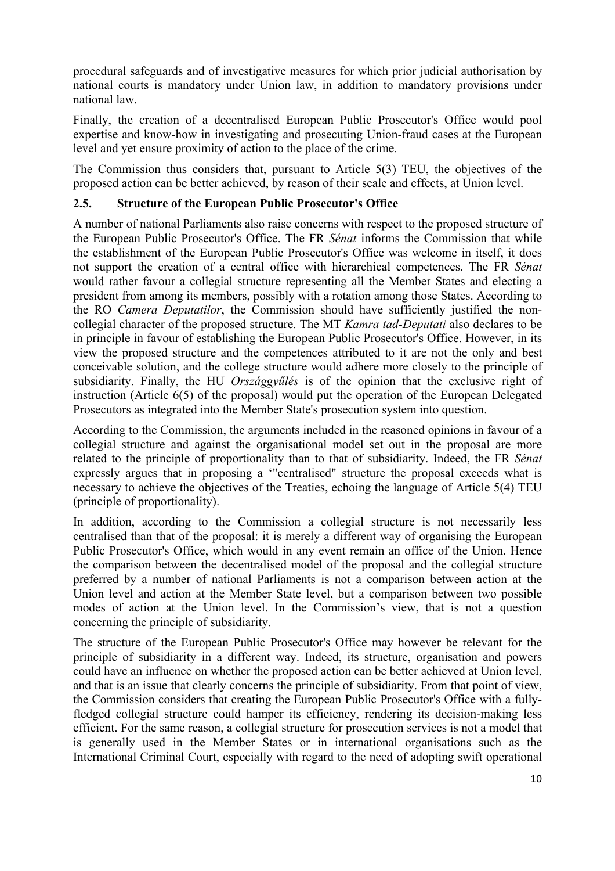procedural safeguards and of investigative measures for which prior judicial authorisation by national courts is mandatory under Union law, in addition to mandatory provisions under national law.

Finally, the creation of a decentralised European Public Prosecutor's Office would pool expertise and know-how in investigating and prosecuting Union-fraud cases at the European level and yet ensure proximity of action to the place of the crime.

The Commission thus considers that, pursuant to Article 5(3) TEU, the objectives of the proposed action can be better achieved, by reason of their scale and effects, at Union level.

## **2.5. Structure of the European Public Prosecutor's Office**

A number of national Parliaments also raise concerns with respect to the proposed structure of the European Public Prosecutor's Office. The FR *Sénat* informs the Commission that while the establishment of the European Public Prosecutor's Office was welcome in itself, it does not support the creation of a central office with hierarchical competences. The FR *Sénat* would rather favour a collegial structure representing all the Member States and electing a president from among its members, possibly with a rotation among those States. According to the RO *Camera Deputatilor*, the Commission should have sufficiently justified the noncollegial character of the proposed structure. The MT *Kamra tad-Deputati* also declares to be in principle in favour of establishing the European Public Prosecutor's Office. However, in its view the proposed structure and the competences attributed to it are not the only and best conceivable solution, and the college structure would adhere more closely to the principle of subsidiarity. Finally, the HU *Országgyűlés* is of the opinion that the exclusive right of instruction (Article 6(5) of the proposal) would put the operation of the European Delegated Prosecutors as integrated into the Member State's prosecution system into question.

According to the Commission, the arguments included in the reasoned opinions in favour of a collegial structure and against the organisational model set out in the proposal are more related to the principle of proportionality than to that of subsidiarity. Indeed, the FR *Sénat* expressly argues that in proposing a '"centralised" structure the proposal exceeds what is necessary to achieve the objectives of the Treaties, echoing the language of Article 5(4) TEU (principle of proportionality).

In addition, according to the Commission a collegial structure is not necessarily less centralised than that of the proposal: it is merely a different way of organising the European Public Prosecutor's Office, which would in any event remain an office of the Union. Hence the comparison between the decentralised model of the proposal and the collegial structure preferred by a number of national Parliaments is not a comparison between action at the Union level and action at the Member State level, but a comparison between two possible modes of action at the Union level. In the Commission's view, that is not a question concerning the principle of subsidiarity.

The structure of the European Public Prosecutor's Office may however be relevant for the principle of subsidiarity in a different way. Indeed, its structure, organisation and powers could have an influence on whether the proposed action can be better achieved at Union level, and that is an issue that clearly concerns the principle of subsidiarity. From that point of view, the Commission considers that creating the European Public Prosecutor's Office with a fullyfledged collegial structure could hamper its efficiency, rendering its decision-making less efficient. For the same reason, a collegial structure for prosecution services is not a model that is generally used in the Member States or in international organisations such as the International Criminal Court, especially with regard to the need of adopting swift operational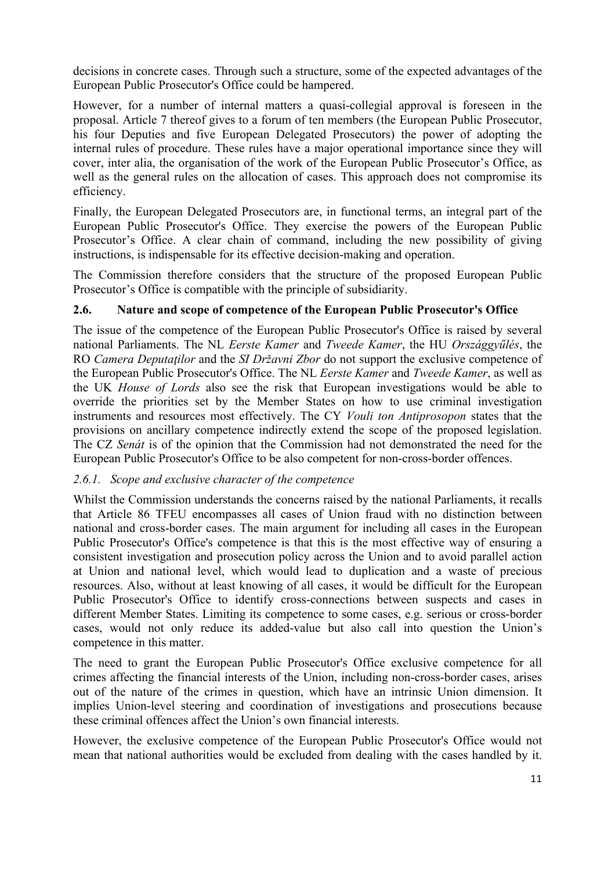decisions in concrete cases. Through such a structure, some of the expected advantages of the European Public Prosecutor's Office could be hampered.

However, for a number of internal matters a quasi-collegial approval is foreseen in the proposal. Article 7 thereof gives to a forum of ten members (the European Public Prosecutor, his four Deputies and five European Delegated Prosecutors) the power of adopting the internal rules of procedure. These rules have a major operational importance since they will cover, inter alia, the organisation of the work of the European Public Prosecutor's Office, as well as the general rules on the allocation of cases. This approach does not compromise its efficiency.

Finally, the European Delegated Prosecutors are, in functional terms, an integral part of the European Public Prosecutor's Office. They exercise the powers of the European Public Prosecutor's Office. A clear chain of command, including the new possibility of giving instructions, is indispensable for its effective decision-making and operation.

The Commission therefore considers that the structure of the proposed European Public Prosecutor's Office is compatible with the principle of subsidiarity.

## **2.6. Nature and scope of competence of the European Public Prosecutor's Office**

The issue of the competence of the European Public Prosecutor's Office is raised by several national Parliaments. The NL *Eerste Kamer* and *Tweede Kamer*, the HU *Országgyűlés*, the RO *Camera Deputaţilor* and the *SI Državni Zbor* do not support the exclusive competence of the European Public Prosecutor's Office. The NL *Eerste Kamer* and *Tweede Kamer*, as well as the UK *House of Lords* also see the risk that European investigations would be able to override the priorities set by the Member States on how to use criminal investigation instruments and resources most effectively. The CY *Vouli ton Antiprosopon* states that the provisions on ancillary competence indirectly extend the scope of the proposed legislation. The CZ *Senát* is of the opinion that the Commission had not demonstrated the need for the European Public Prosecutor's Office to be also competent for non-cross-border offences.

## *2.6.1. Scope and exclusive character of the competence*

Whilst the Commission understands the concerns raised by the national Parliaments, it recalls that Article 86 TFEU encompasses all cases of Union fraud with no distinction between national and cross-border cases. The main argument for including all cases in the European Public Prosecutor's Office's competence is that this is the most effective way of ensuring a consistent investigation and prosecution policy across the Union and to avoid parallel action at Union and national level, which would lead to duplication and a waste of precious resources. Also, without at least knowing of all cases, it would be difficult for the European Public Prosecutor's Office to identify cross-connections between suspects and cases in different Member States. Limiting its competence to some cases, e.g. serious or cross-border cases, would not only reduce its added-value but also call into question the Union's competence in this matter.

The need to grant the European Public Prosecutor's Office exclusive competence for all crimes affecting the financial interests of the Union, including non-cross-border cases, arises out of the nature of the crimes in question, which have an intrinsic Union dimension. It implies Union-level steering and coordination of investigations and prosecutions because these criminal offences affect the Union's own financial interests.

However, the exclusive competence of the European Public Prosecutor's Office would not mean that national authorities would be excluded from dealing with the cases handled by it.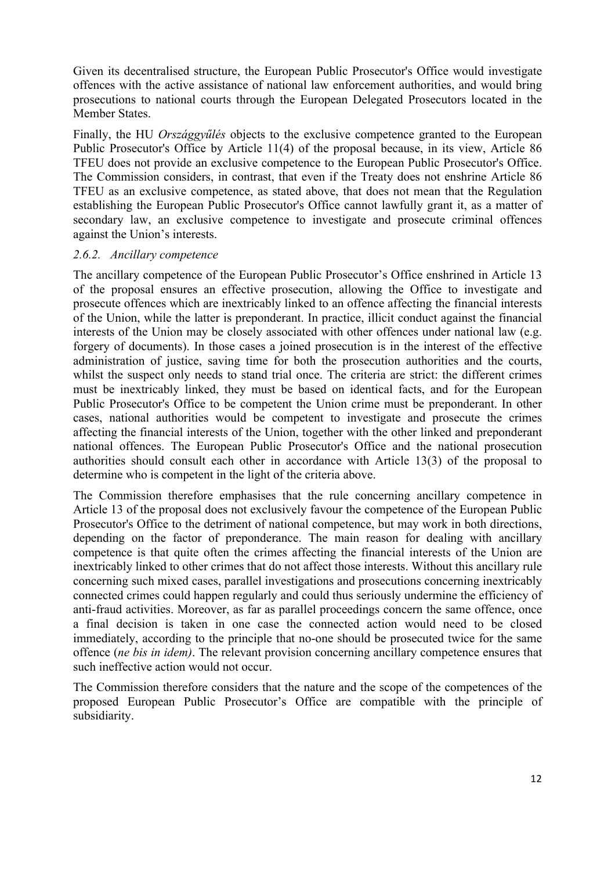Given its decentralised structure, the European Public Prosecutor's Office would investigate offences with the active assistance of national law enforcement authorities, and would bring prosecutions to national courts through the European Delegated Prosecutors located in the Member States.

Finally, the HU *Országgyűlés* objects to the exclusive competence granted to the European Public Prosecutor's Office by Article 11(4) of the proposal because, in its view, Article 86 TFEU does not provide an exclusive competence to the European Public Prosecutor's Office. The Commission considers, in contrast, that even if the Treaty does not enshrine Article 86 TFEU as an exclusive competence, as stated above, that does not mean that the Regulation establishing the European Public Prosecutor's Office cannot lawfully grant it, as a matter of secondary law, an exclusive competence to investigate and prosecute criminal offences against the Union's interests.

#### *2.6.2. Ancillary competence*

The ancillary competence of the European Public Prosecutor's Office enshrined in Article 13 of the proposal ensures an effective prosecution, allowing the Office to investigate and prosecute offences which are inextricably linked to an offence affecting the financial interests of the Union, while the latter is preponderant. In practice, illicit conduct against the financial interests of the Union may be closely associated with other offences under national law (e.g. forgery of documents). In those cases a joined prosecution is in the interest of the effective administration of justice, saving time for both the prosecution authorities and the courts, whilst the suspect only needs to stand trial once. The criteria are strict: the different crimes must be inextricably linked, they must be based on identical facts, and for the European Public Prosecutor's Office to be competent the Union crime must be preponderant. In other cases, national authorities would be competent to investigate and prosecute the crimes affecting the financial interests of the Union, together with the other linked and preponderant national offences. The European Public Prosecutor's Office and the national prosecution authorities should consult each other in accordance with Article 13(3) of the proposal to determine who is competent in the light of the criteria above.

The Commission therefore emphasises that the rule concerning ancillary competence in Article 13 of the proposal does not exclusively favour the competence of the European Public Prosecutor's Office to the detriment of national competence, but may work in both directions, depending on the factor of preponderance. The main reason for dealing with ancillary competence is that quite often the crimes affecting the financial interests of the Union are inextricably linked to other crimes that do not affect those interests. Without this ancillary rule concerning such mixed cases, parallel investigations and prosecutions concerning inextricably connected crimes could happen regularly and could thus seriously undermine the efficiency of anti-fraud activities. Moreover, as far as parallel proceedings concern the same offence, once a final decision is taken in one case the connected action would need to be closed immediately, according to the principle that no-one should be prosecuted twice for the same offence (*ne bis in idem)*. The relevant provision concerning ancillary competence ensures that such ineffective action would not occur.

The Commission therefore considers that the nature and the scope of the competences of the proposed European Public Prosecutor's Office are compatible with the principle of subsidiarity.